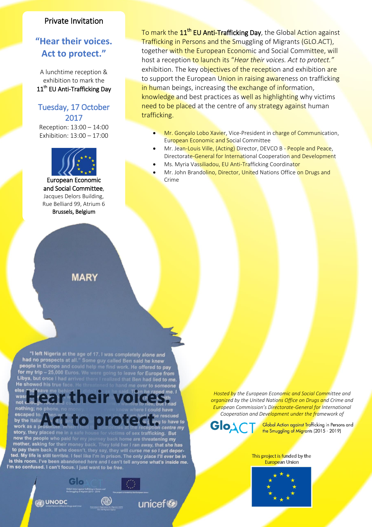## Private Invitation

## **"Hear their voices. Act to protect."**

A lunchtime reception & exhibition to mark the 11<sup>th</sup> EU Anti-Trafficking Day

## Tuesday, 17 October 2017

Reception: 13:00 – 14:00 Exhibition: 13:00 – 17:00



European Economic and Social Committee, Jacques Delors Building, Rue Belliard 99, Atrium 6 Brussels, Belgium

## **MARY**

"I left Nigeria at the age of 17. I was completely alone and<br>had no prospects at all." Some guy called Ben said he knew

had no prospects at all." Some guy called Ben said he knew<br>people in Europe and could help me find work. He offered to pay<br>for my trip – 25,000 Euros. We were going to leave for Europe fron<br>Libya, but once I had arrived th

lear their voice

now the people who paid for my journey back home are threatening my<br>mother, asking for their money back. They told her I ran away, that she has<br>to pay them back. If she doesn't, they say, they will curse me so I get depor-

by the Italia **Act to protect** 

I'm so confused. I can't focus. I just want to be free.

**ON UNODC** 

He showed his true fac

else

no nothing

work as a pro

story, they placed me<br>now the people who p

e going to leave for Europe from<br>I realized that Ben had lied to me

sex trafficking. But

unicef<sup>®</sup>

together wi<mark>th the European Econom</mark>ic and Social Commi<mark>ttee, will</mark> <mark>To mark the 11<sup>th</sup> EU Anti-Trafficking Day</mark>, the Global Action against Trafficking in Persons and the Smuggling of Migrants (GLO.ACT), host a reception to launch its "*Hear their voices. Act to protect."* exhibition. The key objectives of the reception and exhibition are to support the European Union in raising awareness on trafficking in human beings, increasing the exchange of information, knowledge and best practices as well as highlighting why victims need to be placed at the centre of any strategy against human trafficking.

- Mr. Gonçalo Lobo Xavier, Vice-President in charge of Communication, European Economic and Social Committee
- Mr. Jean-Louis Ville, (Acting) Director, DEVCO B People and Peace, Directorate-General for International Cooperation and Development
- Ms. Myria Vassiliadou, EU Anti-Trafficking Coordinator
- Mr. John Brandolino, Director, United Nations Office on Drugs and Crime

*Hosted by the European Economic and Social Committee and organized by the United Nations Office on Drugs and Crime and European Commission's Directorate-General for International Cooperation and Development under the framework of*

Glo

Global Action against Trafficking in Persons and the Smuggling of Migrants (2015 - 2019)

This project is funded by the **European Union**